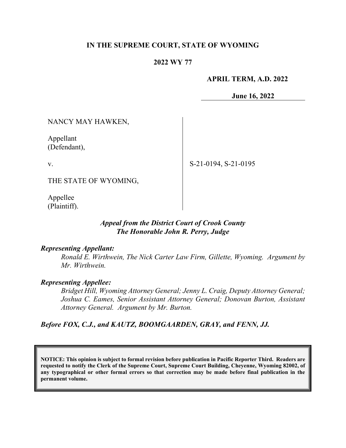### **IN THE SUPREME COURT, STATE OF WYOMING**

### **2022 WY 77**

#### **APRIL TERM, A.D. 2022**

**June 16, 2022**

NANCY MAY HAWKEN,

Appellant (Defendant),

v.

S-21-0194, S-21-0195

THE STATE OF WYOMING,

Appellee (Plaintiff).

### *Appeal from the District Court of Crook County The Honorable John R. Perry, Judge*

#### *Representing Appellant:*

*Ronald E. Wirthwein, The Nick Carter Law Firm, Gillette, Wyoming. Argument by Mr. Wirthwein.* 

#### *Representing Appellee:*

*Bridget Hill, Wyoming Attorney General; Jenny L. Craig, Deputy Attorney General; Joshua C. Eames, Senior Assistant Attorney General; Donovan Burton, Assistant Attorney General. Argument by Mr. Burton.* 

### *Before FOX, C.J., and KAUTZ, BOOMGAARDEN, GRAY, and FENN, JJ.*

**NOTICE: This opinion is subject to formal revision before publication in Pacific Reporter Third. Readers are requested to notify the Clerk of the Supreme Court, Supreme Court Building, Cheyenne, Wyoming 82002, of any typographical or other formal errors so that correction may be made before final publication in the permanent volume.**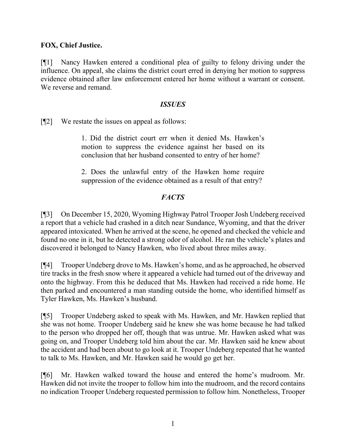## **FOX, Chief Justice.**

[¶1] Nancy Hawken entered a conditional plea of guilty to felony driving under the influence. On appeal, she claims the district court erred in denying her motion to suppress evidence obtained after law enforcement entered her home without a warrant or consent. We reverse and remand.

### *ISSUES*

[¶2] We restate the issues on appeal as follows:

1. Did the district court err when it denied Ms. Hawken's motion to suppress the evidence against her based on its conclusion that her husband consented to entry of her home?

2. Does the unlawful entry of the Hawken home require suppression of the evidence obtained as a result of that entry?

## *FACTS*

[¶3] On December 15, 2020, Wyoming Highway Patrol Trooper Josh Undeberg received a report that a vehicle had crashed in a ditch near Sundance, Wyoming, and that the driver appeared intoxicated. When he arrived at the scene, he opened and checked the vehicle and found no one in it, but he detected a strong odor of alcohol. He ran the vehicle's plates and discovered it belonged to Nancy Hawken, who lived about three miles away.

[¶4] Trooper Undeberg drove to Ms. Hawken's home, and as he approached, he observed tire tracks in the fresh snow where it appeared a vehicle had turned out of the driveway and onto the highway. From this he deduced that Ms. Hawken had received a ride home. He then parked and encountered a man standing outside the home, who identified himself as Tyler Hawken, Ms. Hawken's husband.

[¶5] Trooper Undeberg asked to speak with Ms. Hawken, and Mr. Hawken replied that she was not home. Trooper Undeberg said he knew she was home because he had talked to the person who dropped her off, though that was untrue. Mr. Hawken asked what was going on, and Trooper Undeberg told him about the car. Mr. Hawken said he knew about the accident and had been about to go look at it. Trooper Undeberg repeated that he wanted to talk to Ms. Hawken, and Mr. Hawken said he would go get her.

[¶6] Mr. Hawken walked toward the house and entered the home's mudroom. Mr. Hawken did not invite the trooper to follow him into the mudroom, and the record contains no indication Trooper Undeberg requested permission to follow him. Nonetheless, Trooper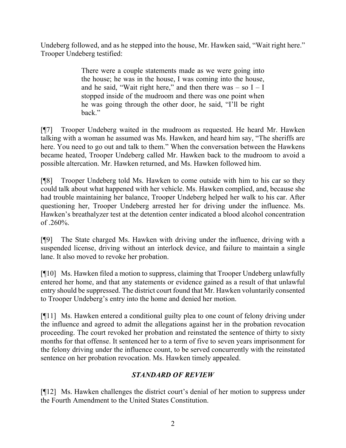Undeberg followed, and as he stepped into the house, Mr. Hawken said, "Wait right here." Trooper Undeberg testified:

> There were a couple statements made as we were going into the house; he was in the house, I was coming into the house, and he said, "Wait right here," and then there was  $-$  so  $I - I$ stopped inside of the mudroom and there was one point when he was going through the other door, he said, "I'll be right back."

[¶7] Trooper Undeberg waited in the mudroom as requested. He heard Mr. Hawken talking with a woman he assumed was Ms. Hawken, and heard him say, "The sheriffs are here. You need to go out and talk to them." When the conversation between the Hawkens became heated, Trooper Undeberg called Mr. Hawken back to the mudroom to avoid a possible altercation. Mr. Hawken returned, and Ms. Hawken followed him.

[¶8] Trooper Undeberg told Ms. Hawken to come outside with him to his car so they could talk about what happened with her vehicle. Ms. Hawken complied, and, because she had trouble maintaining her balance, Trooper Undeberg helped her walk to his car. After questioning her, Trooper Undeberg arrested her for driving under the influence. Ms. Hawken's breathalyzer test at the detention center indicated a blood alcohol concentration of  $.260%$ .

[¶9] The State charged Ms. Hawken with driving under the influence, driving with a suspended license, driving without an interlock device, and failure to maintain a single lane. It also moved to revoke her probation.

[¶10] Ms. Hawken filed a motion to suppress, claiming that Trooper Undeberg unlawfully entered her home, and that any statements or evidence gained as a result of that unlawful entry should be suppressed. The district court found that Mr. Hawken voluntarily consented to Trooper Undeberg's entry into the home and denied her motion.

[¶11] Ms. Hawken entered a conditional guilty plea to one count of felony driving under the influence and agreed to admit the allegations against her in the probation revocation proceeding. The court revoked her probation and reinstated the sentence of thirty to sixty months for that offense. It sentenced her to a term of five to seven years imprisonment for the felony driving under the influence count, to be served concurrently with the reinstated sentence on her probation revocation. Ms. Hawken timely appealed.

# *STANDARD OF REVIEW*

[¶12] Ms. Hawken challenges the district court's denial of her motion to suppress under the Fourth Amendment to the United States Constitution.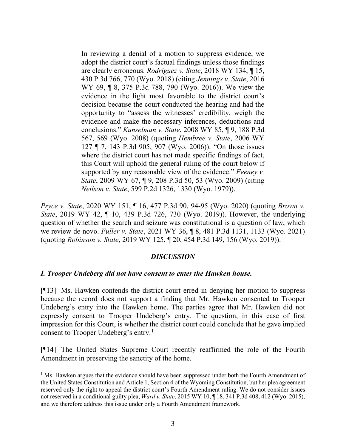In reviewing a denial of a motion to suppress evidence, we adopt the district court's factual findings unless those findings are clearly erroneous. *Rodriguez v. State*, 2018 WY 134, ¶ 15, 430 P.3d 766, 770 (Wyo. 2018) (citing *Jennings v. State*, 2016 WY 69, ¶ 8, 375 P.3d 788, 790 (Wyo. 2016)). We view the evidence in the light most favorable to the district court's decision because the court conducted the hearing and had the opportunity to "assess the witnesses' credibility, weigh the evidence and make the necessary inferences, deductions and conclusions." *Kunselman v. State*, 2008 WY 85, ¶ 9, 188 P.3d 567, 569 (Wyo. 2008) (quoting *Hembree v. State*, 2006 WY 127 ¶ 7, 143 P.3d 905, 907 (Wyo. 2006)). "On those issues where the district court has not made specific findings of fact, this Court will uphold the general ruling of the court below if supported by any reasonable view of the evidence." *Feeney v. State*, 2009 WY 67, ¶ 9, 208 P.3d 50, 53 (Wyo. 2009) (citing *Neilson v. State*, 599 P.2d 1326, 1330 (Wyo. 1979)).

*Pryce v. State*, 2020 WY 151, ¶ 16, 477 P.3d 90, 94-95 (Wyo. 2020) (quoting *Brown v. State*, 2019 WY 42, ¶ 10, 439 P.3d 726, 730 (Wyo. 2019)). However, the underlying question of whether the search and seizure was constitutional is a question of law, which we review de novo. *Fuller v. State*, 2021 WY 36, ¶ 8, 481 P.3d 1131, 1133 (Wyo. 2021) (quoting *Robinson v. State*, 2019 WY 125, ¶ 20, 454 P.3d 149, 156 (Wyo. 2019)).

### *DISCUSSION*

### *I. Trooper Undeberg did not have consent to enter the Hawken house.*

[¶13] Ms. Hawken contends the district court erred in denying her motion to suppress because the record does not support a finding that Mr. Hawken consented to Trooper Undeberg's entry into the Hawken home. The parties agree that Mr. Hawken did not expressly consent to Trooper Undeberg's entry. The question, in this case of first impression for this Court, is whether the district court could conclude that he gave implied consent to Trooper Undeberg's entry.<sup>[1](#page-3-0)</sup>

[¶14] The United States Supreme Court recently reaffirmed the role of the Fourth Amendment in preserving the sanctity of the home.

<span id="page-3-0"></span> $<sup>1</sup>$  Ms. Hawken argues that the evidence should have been suppressed under both the Fourth Amendment of</sup> the United States Constitution and Article 1, Section 4 of the Wyoming Constitution, but her plea agreement reserved only the right to appeal the district court's Fourth Amendment ruling. We do not consider issues not reserved in a conditional guilty plea, *Ward v. State*, 2015 WY 10, ¶ 18, 341 P.3d 408, 412 (Wyo. 2015), and we therefore address this issue under only a Fourth Amendment framework.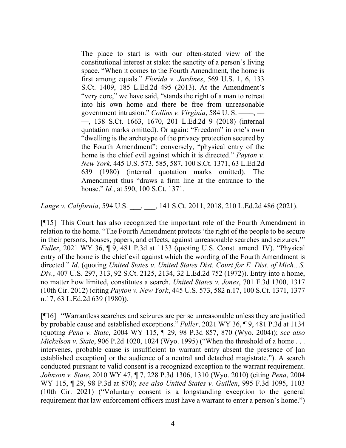The place to start is with our often-stated view of the constitutional interest at stake: the sanctity of a person's living space. "When it comes to the Fourth Amendment, the home is first among equals." *Florida v. Jardines*[, 569 U.S. 1, 6, 133](http://www.westlaw.com/Link/Document/FullText?findType=Y&serNum=2030213990&pubNum=0000780&originatingDoc=Ia73dfe9ad36f11eba0b7d6d84cf97130&refType=RP&fi=co_pp_sp_780_6&originationContext=document&vr=3.0&rs=cblt1.0&transitionType=DocumentItem&contextData=(sc.UserEnteredCitation)#co_pp_sp_780_6)  [S.Ct. 1409, 185 L.Ed.2d 495 \(2013\).](http://www.westlaw.com/Link/Document/FullText?findType=Y&serNum=2030213990&pubNum=0000780&originatingDoc=Ia73dfe9ad36f11eba0b7d6d84cf97130&refType=RP&fi=co_pp_sp_780_6&originationContext=document&vr=3.0&rs=cblt1.0&transitionType=DocumentItem&contextData=(sc.UserEnteredCitation)#co_pp_sp_780_6) At the Amendment's "very core," we have said, "stands the right of a man to retreat into his own home and there be free from unreasonable government intrusion." *Collins v. Virginia*[, 584 U. S. ––––, ––](http://www.westlaw.com/Link/Document/FullText?findType=Y&serNum=2044624679&pubNum=0000780&originatingDoc=Ia73dfe9ad36f11eba0b7d6d84cf97130&refType=RP&originationContext=document&vr=3.0&rs=cblt1.0&transitionType=DocumentItem&contextData=(sc.UserEnteredCitation)) [––, 138 S.Ct. 1663, 1670, 201 L.Ed.2d 9 \(2018\)](http://www.westlaw.com/Link/Document/FullText?findType=Y&serNum=2044624679&pubNum=0000780&originatingDoc=Ia73dfe9ad36f11eba0b7d6d84cf97130&refType=RP&originationContext=document&vr=3.0&rs=cblt1.0&transitionType=DocumentItem&contextData=(sc.UserEnteredCitation)) (internal quotation marks omitted). Or again: "Freedom" in one's own "dwelling is the archetype of the privacy protection secured by the Fourth Amendment"; conversely, "physical entry of the home is the chief evil against which it is directed." *[Payton v.](http://www.westlaw.com/Link/Document/FullText?findType=Y&serNum=1980111413&pubNum=0000780&originatingDoc=Ia73dfe9ad36f11eba0b7d6d84cf97130&refType=RP&fi=co_pp_sp_780_585&originationContext=document&vr=3.0&rs=cblt1.0&transitionType=DocumentItem&contextData=(sc.UserEnteredCitation)#co_pp_sp_780_585)  New York*[, 445 U.S. 573, 585, 587, 100 S.Ct. 1371, 63 L.Ed.2d](http://www.westlaw.com/Link/Document/FullText?findType=Y&serNum=1980111413&pubNum=0000780&originatingDoc=Ia73dfe9ad36f11eba0b7d6d84cf97130&refType=RP&fi=co_pp_sp_780_585&originationContext=document&vr=3.0&rs=cblt1.0&transitionType=DocumentItem&contextData=(sc.UserEnteredCitation)#co_pp_sp_780_585)  [639 \(1980\)](http://www.westlaw.com/Link/Document/FullText?findType=Y&serNum=1980111413&pubNum=0000780&originatingDoc=Ia73dfe9ad36f11eba0b7d6d84cf97130&refType=RP&fi=co_pp_sp_780_585&originationContext=document&vr=3.0&rs=cblt1.0&transitionType=DocumentItem&contextData=(sc.UserEnteredCitation)#co_pp_sp_780_585) (internal quotation marks omitted). The Amendment thus "draws a firm line at the entrance to the house." *Id.*[, at 590, 100 S.Ct. 1371.](http://www.westlaw.com/Link/Document/FullText?findType=Y&serNum=1980111413&pubNum=0000708&originatingDoc=Ia73dfe9ad36f11eba0b7d6d84cf97130&refType=RP&originationContext=document&vr=3.0&rs=cblt1.0&transitionType=DocumentItem&contextData=(sc.UserEnteredCitation))

*Lange v. California*, 594 U.S. \_\_\_, \_\_\_, 141 S.Ct. 2011, 2018, 210 L.Ed.2d 486 (2021).

[¶15] This Court has also recognized the important role of the Fourth Amendment in relation to the home. "The Fourth Amendment protects 'the right of the people to be secure in their persons, houses, papers, and effects, against unreasonable searches and seizures.'" *Fuller*, 2021 WY 36, ¶ 9, 481 P.3d at 1133 (quoting [U.S. Const. amend. IV\)](http://www.westlaw.com/Link/Document/FullText?findType=L&pubNum=1000583&cite=USCOAMENDIV&originatingDoc=I272421b0771511eba39cfec032d8837e&refType=LQ&originationContext=document&vr=3.0&rs=cblt1.0&transitionType=DocumentItem&contextData=(sc.UserEnteredCitation)). "Physical entry of the home is the chief evil against which the wording of the Fourth Amendment is directed." *Id*. (quoting *[United States v. United States Dist. Court for E. Dist. of Mich., S.](http://www.westlaw.com/Link/Document/FullText?findType=Y&serNum=1972127161&pubNum=0000708&originatingDoc=I272421b0771511eba39cfec032d8837e&refType=RP&fi=co_pp_sp_708_2134&originationContext=document&vr=3.0&rs=cblt1.0&transitionType=DocumentItem&contextData=(sc.UserEnteredCitation)#co_pp_sp_708_2134)  Div.*[, 407 U.S. 297, 313, 92 S.Ct. 2125, 2134, 32 L.Ed.2d 752 \(1972\)\)](http://www.westlaw.com/Link/Document/FullText?findType=Y&serNum=1972127161&pubNum=0000708&originatingDoc=I272421b0771511eba39cfec032d8837e&refType=RP&fi=co_pp_sp_708_2134&originationContext=document&vr=3.0&rs=cblt1.0&transitionType=DocumentItem&contextData=(sc.UserEnteredCitation)#co_pp_sp_708_2134). Entry into a home, no matter how limited, constitutes a search. *United States v. Jones*, 701 F.3d 1300, 1317 (10th Cir. 2012) (citing *Payton v. New York*[, 445 U.S. 573, 582 n.17, 100 S.Ct. 1371, 1377](http://www.westlaw.com/Link/Document/FullText?findType=Y&serNum=1980111413&pubNum=0000708&originatingDoc=Ib880d2b2493911e287a9c52cdddac4f7&refType=RP&originationContext=document&vr=3.0&rs=cblt1.0&transitionType=DocumentItem&contextData=(sc.UserEnteredCitation))  [n.17, 63 L.Ed.2d 639 \(1980\)\)](http://www.westlaw.com/Link/Document/FullText?findType=Y&serNum=1980111413&pubNum=0000708&originatingDoc=Ib880d2b2493911e287a9c52cdddac4f7&refType=RP&originationContext=document&vr=3.0&rs=cblt1.0&transitionType=DocumentItem&contextData=(sc.UserEnteredCitation)).

[¶16] "Warrantless searches and seizures are per se unreasonable unless they are justified by probable cause and established exceptions." *Fuller*, 2021 WY 36, ¶ 9, 481 P.3d at 1134 (quoting *Pena v. State*[, 2004 WY 115, ¶ 29, 98 P.3d 857, 870 \(Wyo. 2004\)\)](http://www.westlaw.com/Link/Document/FullText?findType=Y&serNum=2005235965&pubNum=0004645&originatingDoc=I272421b0771511eba39cfec032d8837e&refType=RP&fi=co_pp_sp_4645_870&originationContext=document&vr=3.0&rs=cblt1.0&transitionType=DocumentItem&contextData=(sc.UserEnteredCitation)#co_pp_sp_4645_870); *see also Mickelson v. State*, 906 P.2d 1020, 1024 (Wyo. 1995) ("When the threshold of a home . . . intervenes, probable cause is insufficient to warrant entry absent the presence of [an established exception] or the audience of a neutral and detached magistrate."). A search conducted pursuant to valid consent is a recognized exception to the warrant requirement. *Johnson v. State*, 2010 WY 47, ¶ 7, 228 P.3d 1306, 1310 (Wyo. 2010) (citing *Pena*[, 2004](http://www.westlaw.com/Link/Document/FullText?findType=Y&serNum=2005235965&pubNum=0004645&originatingDoc=I38cec88f4c9811dfa7ada84b8dc24cbf&refType=RP&fi=co_pp_sp_4645_870&originationContext=document&vr=3.0&rs=cblt1.0&transitionType=DocumentItem&contextData=(sc.UserEnteredCitation)#co_pp_sp_4645_870)  [WY 115, ¶ 29, 98 P.3d at 870\);](http://www.westlaw.com/Link/Document/FullText?findType=Y&serNum=2005235965&pubNum=0004645&originatingDoc=I38cec88f4c9811dfa7ada84b8dc24cbf&refType=RP&fi=co_pp_sp_4645_870&originationContext=document&vr=3.0&rs=cblt1.0&transitionType=DocumentItem&contextData=(sc.UserEnteredCitation)#co_pp_sp_4645_870) *see also United States v. Guillen*, 995 F.3d 1095, 1103 [\(10th Cir. 2021\) \("Voluntary consent is a longstanding exception to the general](http://www.westlaw.com/Link/Document/FullText?findType=Y&serNum=2005235965&pubNum=0004645&originatingDoc=I38cec88f4c9811dfa7ada84b8dc24cbf&refType=RP&fi=co_pp_sp_4645_870&originationContext=document&vr=3.0&rs=cblt1.0&transitionType=DocumentItem&contextData=(sc.UserEnteredCitation)#co_pp_sp_4645_870)  [requirement that law enforcement officers must have a warrant to enter a person's home."\)](http://www.westlaw.com/Link/Document/FullText?findType=Y&serNum=2005235965&pubNum=0004645&originatingDoc=I38cec88f4c9811dfa7ada84b8dc24cbf&refType=RP&fi=co_pp_sp_4645_870&originationContext=document&vr=3.0&rs=cblt1.0&transitionType=DocumentItem&contextData=(sc.UserEnteredCitation)#co_pp_sp_4645_870)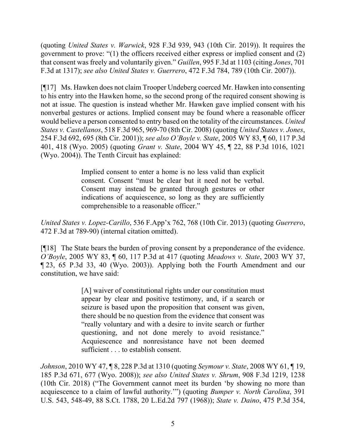(quoting *United States v. Warwick*[, 928 F.3d 939, 943 \(10th Cir. 2019\)\). I](http://www.westlaw.com/Link/Document/FullText?findType=Y&serNum=2005235965&pubNum=0004645&originatingDoc=I38cec88f4c9811dfa7ada84b8dc24cbf&refType=RP&fi=co_pp_sp_4645_870&originationContext=document&vr=3.0&rs=cblt1.0&transitionType=DocumentItem&contextData=(sc.UserEnteredCitation)#co_pp_sp_4645_870)t requires the government to prove: "(1) the officers received either express or implied consent and (2) that consent was freely and voluntarily given." *Guillen*, 995 F.3d at 1103 (citing *Jones*, 701 F.3d at 1317); *see also United States v. Guerrero*, 472 F.3d 784, 789 (10th Cir. 2007)).

[¶17] Ms. Hawken does not claim Trooper Undeberg coerced Mr. Hawken into consenting to his entry into the Hawken home, so the second prong of the required consent showing is not at issue. The question is instead whether Mr. Hawken gave implied consent with his nonverbal gestures or actions. Implied consent may be found where a reasonable officer would believe a person consented to entry based on the totality of the circumstances. *United States v. Castellanos*, 518 F.3d 965, 969-70 (8th Cir. 2008) (quoting *United States v. Jones*, 254 F.3d 692, 695 (8th Cir. 2001)); *see also O'Boyle v. State*, 2005 WY 83, ¶ 60, 117 P.3d 401, 418 (Wyo. 2005) (quoting *Grant v. State*, 2004 WY 45, ¶ 22, 88 P.3d 1016, 1021 (Wyo. 2004)). The Tenth Circuit has explained:

> Implied consent to enter a home is no less valid than explicit consent. Consent "must be clear but it need not be verbal. Consent may instead be granted through gestures or other indications of acquiescence, so long as they are sufficiently comprehensible to a reasonable officer."

*United States v. Lopez-Carillo*, 536 F.App'x 762, 768 (10th Cir. 2013) (quoting *Guerrero*, 472 F.3d at 789-90) (internal citation omitted).

[¶18] The State bears the burden of proving consent by a preponderance of the evidence. *O'Boyle*, 2005 WY 83, ¶ 60, 117 P.3d at 417 (quoting *Meadows v. State*, 2003 WY 37, ¶ 23, 65 P.3d 33, 40 (Wyo. 2003)). Applying both the Fourth Amendment and our constitution, we have said:

> [A] waiver of constitutional rights under our constitution must appear by clear and positive testimony, and, if a search or seizure is based upon the proposition that consent was given, there should be no question from the evidence that consent was "really voluntary and with a desire to invite search or further questioning, and not done merely to avoid resistance." Acquiescence and nonresistance have not been deemed sufficient . . . to establish consent.

*Johnson*, 2010 WY 47, ¶ 8, 228 P.3d at 1310 (quoting *[Seymour v. State](http://www.westlaw.com/Link/Document/FullText?findType=Y&serNum=2016243952&pubNum=0004645&originatingDoc=I38cec88f4c9811dfa7ada84b8dc24cbf&refType=RP&fi=co_pp_sp_4645_676&originationContext=document&vr=3.0&rs=cblt1.0&transitionType=DocumentItem&contextData=(sc.UserEnteredCitation)#co_pp_sp_4645_676)*, 2008 WY 61, ¶ 19, [185 P.3d 671, 677 \(Wyo. 2008\)\)](http://www.westlaw.com/Link/Document/FullText?findType=Y&serNum=2016243952&pubNum=0004645&originatingDoc=I38cec88f4c9811dfa7ada84b8dc24cbf&refType=RP&fi=co_pp_sp_4645_676&originationContext=document&vr=3.0&rs=cblt1.0&transitionType=DocumentItem&contextData=(sc.UserEnteredCitation)#co_pp_sp_4645_676); *see also United States v. Shrum*, 908 F.3d 1219, 1238 (10th Cir. 2018) ("The Government cannot meet its burden 'by showing no more than acquiescence to a claim of lawful authority.'") (quoting *[Bumper v. North Carolina](http://www.westlaw.com/Link/Document/FullText?findType=Y&serNum=1968131211&pubNum=0000780&originatingDoc=I54e07c70e90011e8a99cca37ea0f7dc8&refType=RP&fi=co_pp_sp_780_548&originationContext=document&vr=3.0&rs=cblt1.0&transitionType=DocumentItem&contextData=(sc.Keycite)#co_pp_sp_780_548)*, 391 [U.S. 543, 548-49, 88 S.Ct. 1788, 20 L.Ed.2d 797 \(1968\)\)](http://www.westlaw.com/Link/Document/FullText?findType=Y&serNum=1968131211&pubNum=0000780&originatingDoc=I54e07c70e90011e8a99cca37ea0f7dc8&refType=RP&fi=co_pp_sp_780_548&originationContext=document&vr=3.0&rs=cblt1.0&transitionType=DocumentItem&contextData=(sc.Keycite)#co_pp_sp_780_548); *State v. Daino*, 475 P.3d 354,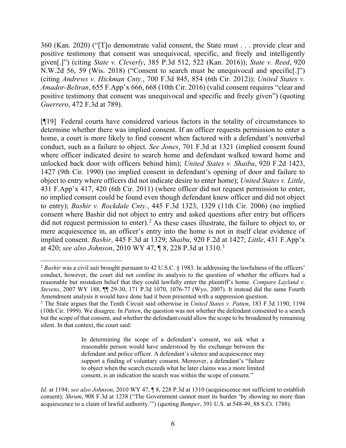360 (Kan. 2020) ("[T]o demonstrate valid consent, the State must . . . provide clear and positive testimony that consent was unequivocal, specific, and freely and intelligently given[.]") (citing *State v. Cleverly*[, 385 P.3d 512, 522](http://www.westlaw.com/Link/Document/FullText?findType=Y&serNum=2040592106&pubNum=0000458&originatingDoc=I5b47a9d025df11eba094ed6df7a8b3f2&refType=RP&fi=co_pp_sp_458_613&originationContext=document&vr=3.0&rs=cblt1.0&transitionType=DocumentItem&contextData=(sc.Search)#co_pp_sp_458_613) (Kan. 2016)); *State v. Reed*, 920 N.W.2d 56, 59 (Wis. 2018) ("Consent to search must be unequivocal and specific[.]") (citing *Andrews v. Hickman Cnty.*[, 700 F.3d 845, 854 \(6th Cir. 2012\)\)](http://www.westlaw.com/Link/Document/FullText?findType=Y&serNum=2029318440&pubNum=0000506&originatingDoc=Ia2543410fa5d11e8a1b0e6625e646f8f&refType=RP&fi=co_pp_sp_506_854&originationContext=document&vr=3.0&rs=cblt1.0&transitionType=DocumentItem&contextData=(sc.UserEnteredCitation)#co_pp_sp_506_854); *United States v. Amador-Beltran*, 655 F.App'x 666, 668 (10th Cir. 2016) (valid consent requires "clear and positive testimony that consent was unequivocal and specific and freely given") (quoting *Guerrero*, 472 F.3d at 789).

[¶19] Federal courts have considered various factors in the totality of circumstances to determine whether there was implied consent. If an officer requests permission to enter a home, a court is more likely to find consent when factored with a defendant's nonverbal conduct, such as a failure to object. *See Jones*, 701 F.3d at 1321 (implied consent found where officer indicated desire to search home and defendant walked toward home and unlocked back door with officers behind him); *United States v. Shaibu*, 920 F.2d 1423, 1427 (9th Cir. 1990) (no implied consent in defendant's opening of door and failure to object to entry where officers did not indicate desire to enter home); *United States v. Little*, 431 F.App'x 417, 420 (6th Cir. 2011) (where officer did not request permission to enter, no implied consent could be found even though defendant knew officer and did not object to entry); *Bashir v. Rockdale Cnty.*, 445 F.3d 1323, 1329 (11th Cir. 2006) (no implied consent where Bashir did not object to entry and asked questions after entry but officers did not request permission to enter).<sup>[2](#page-6-0)</sup> As these cases illustrate, the failure to object to, or mere acquiescence in, an officer's entry into the home is not in itself clear evidence of implied consent. *Bashir*, 445 F.3d at 1329; *Shaibu*, 920 F.2d at 1427; *Little*, 431 F.App'x at 420; *see also Johnson*, 2010 WY 47, ¶ 8, 228 P.3d at 1310. [3](#page-6-1)

<span id="page-6-0"></span><sup>&</sup>lt;sup>2</sup> *Bashir* was a civil suit brought pursuant to 42 U.S.C. § 1983. In addressing the lawfulness of the officers' conduct, however, the court did not confine its analysis to the question of whether the officers had a reasonable but mistaken belief that they could lawfully enter the plaintiff's home. *Compare Layland v. Stevens*, 2007 WY 188, ¶¶ 29-30, 171 P.3d 1070, 1076-77 (Wyo. 2007). It instead did the same Fourth Amendment analysis it would have done had it been presented with a suppression question.

<span id="page-6-1"></span><sup>3</sup> The State argues that the Tenth Circuit said otherwise in *United States v. Patten*, 183 F.3d 1190, 1194 (10th Cir. 1999). We disagree. In *Patten*, the question was not whether the defendant consented to a search but the scope of that consent, and whether the defendant could allow the scope to be broadened by remaining silent. In that context, the court said:

In determining the scope of a defendant's consent, we ask what a reasonable person would have understood by the exchange between the defendant and police officer. A defendant's silence and acquiescence may support a finding of voluntary consent. Moreover, a defendant's "failure to object when the search exceeds what he later claims was a more limited consent, is an indication the search was within the scope of consent."

*Id*. at 1194; *see also Johnson*, 2010 WY 47, ¶ 8, 228 P.3d at 1310 (acquiescence not sufficient to establish consent); *Shrum*, 908 F.3d at 1238 ("The Government cannot meet its burden 'by showing no more than acquiescence to a claim of lawful authority.'") (quoting *Bumper*, 391 U.S. at [548-49, 88 S.Ct. 1788\)](http://www.westlaw.com/Link/Document/FullText?findType=Y&serNum=1968131211&pubNum=0000780&originatingDoc=I54e07c70e90011e8a99cca37ea0f7dc8&refType=RP&fi=co_pp_sp_780_548&originationContext=document&vr=3.0&rs=cblt1.0&transitionType=DocumentItem&contextData=(sc.Keycite)#co_pp_sp_780_548).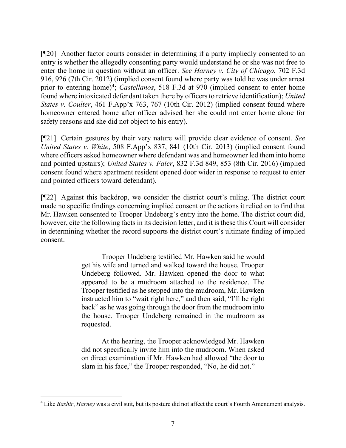[¶20] Another factor courts consider in determining if a party impliedly consented to an entry is whether the allegedly consenting party would understand he or she was not free to enter the home in question without an officer. *See Harney v. City of Chicago*, 702 F.3d 916, 926 (7th Cir. 2012) (implied consent found where party was told he was under arrest prior to entering home)<sup>[4](#page-7-0)</sup>; *Castellanos*, 518 F.3d at 970 (implied consent to enter home found where intoxicated defendant taken there by officers to retrieve identification); *United States v. Coulter*, 461 F.App'x 763, 767 (10th Cir. 2012) (implied consent found where homeowner entered home after officer advised her she could not enter home alone for safety reasons and she did not object to his entry).

[¶21] Certain gestures by their very nature will provide clear evidence of consent. *See United States v. White*, 508 F.App'x 837, 841 (10th Cir. 2013) (implied consent found where officers asked homeowner where defendant was and homeowner led them into home and pointed upstairs); *United States v. Faler*, 832 F.3d 849, 853 (8th Cir. 2016) (implied consent found where apartment resident opened door wider in response to request to enter and pointed officers toward defendant).

[¶22] Against this backdrop, we consider the district court's ruling. The district court made no specific findings concerning implied consent or the actions it relied on to find that Mr. Hawken consented to Trooper Undeberg's entry into the home. The district court did, however, cite the following facts in its decision letter, and it is these this Court will consider in determining whether the record supports the district court's ultimate finding of implied consent.

> Trooper Undeberg testified Mr. Hawken said he would get his wife and turned and walked toward the house. Trooper Undeberg followed. Mr. Hawken opened the door to what appeared to be a mudroom attached to the residence. The Trooper testified as he stepped into the mudroom, Mr. Hawken instructed him to "wait right here," and then said, "I'll be right back" as he was going through the door from the mudroom into the house. Trooper Undeberg remained in the mudroom as requested.

> At the hearing, the Trooper acknowledged Mr. Hawken did not specifically invite him into the mudroom. When asked on direct examination if Mr. Hawken had allowed "the door to slam in his face," the Trooper responded, "No, he did not."

<span id="page-7-0"></span><sup>4</sup> Like *Bashir*, *Harney* was a civil suit, but its posture did not affect the court's Fourth Amendment analysis.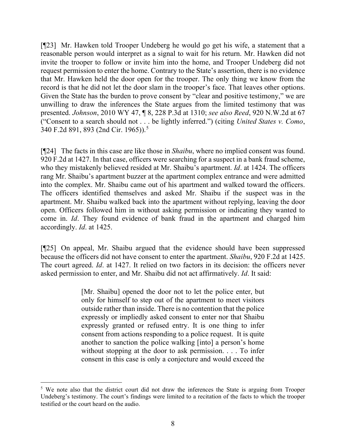[¶23] Mr. Hawken told Trooper Undeberg he would go get his wife, a statement that a reasonable person would interpret as a signal to wait for his return. Mr. Hawken did not invite the trooper to follow or invite him into the home, and Trooper Undeberg did not request permission to enter the home. Contrary to the State's assertion, there is no evidence that Mr. Hawken held the door open for the trooper. The only thing we know from the record is that he did not let the door slam in the trooper's face. That leaves other options. Given the State has the burden to prove consent by "clear and positive testimony," we are unwilling to draw the inferences the State argues from the limited testimony that was presented. *Johnson*, 2010 WY 47, ¶ 8, 228 P.3d at 1310; *see also Reed*, 920 N.W.2d at 67 ("Consent to a search should not . . . be lightly inferred.") (citing *[United States v. Como](http://www.westlaw.com/Link/Document/FullText?findType=Y&serNum=1965112356&pubNum=0000350&originatingDoc=Ia2543410fa5d11e8a1b0e6625e646f8f&refType=RP&fi=co_pp_sp_350_893&originationContext=document&vr=3.0&rs=cblt1.0&transitionType=DocumentItem&contextData=(sc.UserEnteredCitation)#co_pp_sp_350_893)*, [340 F.2d 891, 893 \(2nd Cir. 1965\)\)](http://www.westlaw.com/Link/Document/FullText?findType=Y&serNum=1965112356&pubNum=0000350&originatingDoc=Ia2543410fa5d11e8a1b0e6625e646f8f&refType=RP&fi=co_pp_sp_350_893&originationContext=document&vr=3.0&rs=cblt1.0&transitionType=DocumentItem&contextData=(sc.UserEnteredCitation)#co_pp_sp_350_893).[5](#page-8-0)

[¶24] The facts in this case are like those in *Shaibu*, where no implied consent was found. 920 F.2d at 1427. In that case, officers were searching for a suspect in a bank fraud scheme, who they mistakenly believed resided at Mr. Shaibu's apartment. *Id*. at 1424. The officers rang Mr. Shaibu's apartment buzzer at the apartment complex entrance and were admitted into the complex. Mr. Shaibu came out of his apartment and walked toward the officers. The officers identified themselves and asked Mr. Shaibu if the suspect was in the apartment. Mr. Shaibu walked back into the apartment without replying, leaving the door open. Officers followed him in without asking permission or indicating they wanted to come in. *Id*. They found evidence of bank fraud in the apartment and charged him accordingly. *Id*. at 1425.

[¶25] On appeal, Mr. Shaibu argued that the evidence should have been suppressed because the officers did not have consent to enter the apartment. *Shaibu*, 920 F.2d at 1425. The court agreed. *Id*. at 1427. It relied on two factors in its decision: the officers never asked permission to enter, and Mr. Shaibu did not act affirmatively. *Id*. It said:

> [Mr. Shaibu] opened the door not to let the police enter, but only for himself to step out of the apartment to meet visitors outside rather than inside. There is no contention that the police expressly or impliedly asked consent to enter nor that Shaibu expressly granted or refused entry. It is one thing to infer consent from actions responding to a police request. It is quite another to sanction the police walking [into] a person's home without stopping at the door to ask permission. . . . To infer consent in this case is only a conjecture and would exceed the

<span id="page-8-0"></span><sup>&</sup>lt;sup>5</sup> We note also that the district court did not draw the inferences the State is arguing from Trooper Undeberg's testimony. The court's findings were limited to a recitation of the facts to which the trooper testified or the court heard on the audio.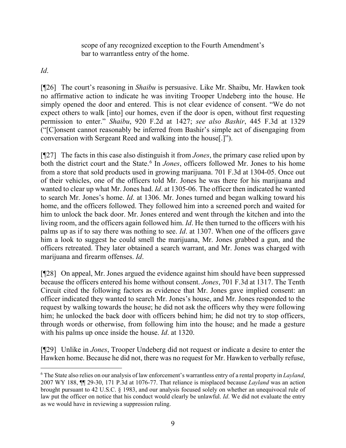scope of any recognized exception to the Fourth Amendment's bar to warrantless entry of the home.

*Id*.

[¶26] The court's reasoning in *Shaibu* is persuasive. Like Mr. Shaibu, Mr. Hawken took no affirmative action to indicate he was inviting Trooper Undeberg into the house. He simply opened the door and entered. This is not clear evidence of consent. "We do not expect others to walk [into] our homes, even if the door is open, without first requesting permission to enter." *Shaibu*, 920 F.2d at 1427; *see also Bashir*, 445 F.3d at 1329 ("[C]onsent cannot reasonably be inferred from Bashir's simple act of disengaging from conversation with Sergeant Reed and walking into the house[.]").

[¶27] The facts in this case also distinguish it from *Jones*, the primary case relied upon by both the district court and the State.<sup>[6](#page-9-0)</sup> In *Jones*, officers followed Mr. Jones to his home from a store that sold products used in growing marijuana. 701 F.3d at 1304-05. Once out of their vehicles, one of the officers told Mr. Jones he was there for his marijuana and wanted to clear up what Mr. Jones had. *Id*. at 1305-06. The officer then indicated he wanted to search Mr. Jones's home. *Id*. at 1306. Mr. Jones turned and began walking toward his home, and the officers followed. They followed him into a screened porch and waited for him to unlock the back door. Mr. Jones entered and went through the kitchen and into the living room, and the officers again followed him. *Id*. He then turned to the officers with his palms up as if to say there was nothing to see. *Id*. at 1307. When one of the officers gave him a look to suggest he could smell the marijuana, Mr. Jones grabbed a gun, and the officers retreated. They later obtained a search warrant, and Mr. Jones was charged with marijuana and firearm offenses. *Id*.

[¶28] On appeal, Mr. Jones argued the evidence against him should have been suppressed because the officers entered his home without consent. *Jones*, 701 F.3d at 1317. The Tenth Circuit cited the following factors as evidence that Mr. Jones gave implied consent: an officer indicated they wanted to search Mr. Jones's house, and Mr. Jones responded to the request by walking towards the house; he did not ask the officers why they were following him; he unlocked the back door with officers behind him; he did not try to stop officers, through words or otherwise, from following him into the house; and he made a gesture with his palms up once inside the house. *Id*. at 1320.

[¶29] Unlike in *Jones*, Trooper Undeberg did not request or indicate a desire to enter the Hawken home. Because he did not, there was no request for Mr. Hawken to verbally refuse,

<span id="page-9-0"></span><sup>6</sup> The State also relies on our analysis of law enforcement's warrantless entry of a rental property in *Layland*, 2007 WY 188, ¶¶ 29-30, 171 P.3d at 1076-77. That reliance is misplaced because *Layland* was an action brought pursuant to 42 U.S.C. § 1983, and our analysis focused solely on whether an unequivocal rule of law put the officer on notice that his conduct would clearly be unlawful. *Id*. We did not evaluate the entry as we would have in reviewing a suppression ruling.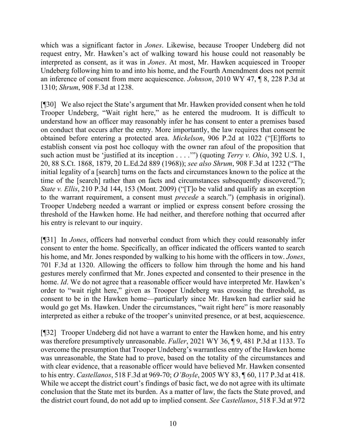which was a significant factor in *Jones*. Likewise, because Trooper Undeberg did not request entry, Mr. Hawken's act of walking toward his house could not reasonably be interpreted as consent, as it was in *Jones*. At most, Mr. Hawken acquiesced in Trooper Undeberg following him to and into his home, and the Fourth Amendment does not permit an inference of consent from mere acquiescence. *Johnson*, 2010 WY 47, ¶ 8, 228 P.3d at 1310; *Shrum*, 908 F.3d at 1238.

[¶30] We also reject the State's argument that Mr. Hawken provided consent when he told Trooper Undeberg, "Wait right here," as he entered the mudroom. It is difficult to understand how an officer may reasonably infer he has consent to enter a premises based on conduct that occurs after the entry. More importantly, the law requires that consent be obtained before entering a protected area. *Mickelson*, 906 P.2d at 1022 ("[E]fforts to establish consent via post hoc colloquy with the owner ran afoul of the proposition that such action must be 'justified at its inception . . . .'") (quoting *Terry v. Ohio*, 392 U.S. 1, 20, 88 S.Ct. 1868, 1879, 20 L.Ed.2d 889 (1968)); *see also Shrum*, 908 F.3d at 1232 ("The initial legality of a [search] turns on the facts and circumstances known to the police at the time of the [search] rather than on facts and circumstances subsequently discovered."); *State v. Ellis*, 210 P.3d 144, 153 (Mont. 2009) ("[T]o be valid and qualify as an exception to the warrant requirement, a consent must *precede* a search.") (emphasis in original). Trooper Undeberg needed a warrant or implied or express consent before crossing the threshold of the Hawken home. He had neither, and therefore nothing that occurred after his entry is relevant to our inquiry.

[¶31] In *Jones*, officers had nonverbal conduct from which they could reasonably infer consent to enter the home. Specifically, an officer indicated the officers wanted to search his home, and Mr. Jones responded by walking to his home with the officers in tow. *Jones*, 701 F.3d at 1320. Allowing the officers to follow him through the home and his hand gestures merely confirmed that Mr. Jones expected and consented to their presence in the home. *Id*. We do not agree that a reasonable officer would have interpreted Mr. Hawken's order to "wait right here," given as Trooper Undeberg was crossing the threshold, as consent to be in the Hawken home—particularly since Mr. Hawken had earlier said he would go get Ms. Hawken. Under the circumstances, "wait right here" is more reasonably interpreted as either a rebuke of the trooper's uninvited presence, or at best, acquiescence.

[¶32] Trooper Undeberg did not have a warrant to enter the Hawken home, and his entry was therefore presumptively unreasonable. *Fuller*, 2021 WY 36, ¶ 9, 481 P.3d at 1133. To overcome the presumption that Trooper Undeberg's warrantless entry of the Hawken home was unreasonable, the State had to prove, based on the totality of the circumstances and with clear evidence, that a reasonable officer would have believed Mr. Hawken consented to his entry. *Castellanos*, 518 F.3d at 969-70; *O'Boyle*, 2005 WY 83, ¶ 60, 117 P.3d at 418. While we accept the district court's findings of basic fact, we do not agree with its ultimate conclusion that the State met its burden. As a matter of law, the facts the State proved, and the district court found, do not add up to implied consent. *See Castellanos*, 518 F.3d at 972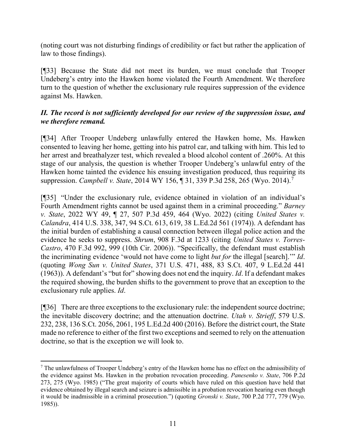(noting court was not disturbing findings of credibility or fact but rather the application of law to those findings).

[¶33] Because the State did not meet its burden, we must conclude that Trooper Undeberg's entry into the Hawken home violated the Fourth Amendment. We therefore turn to the question of whether the exclusionary rule requires suppression of the evidence against Ms. Hawken.

# *II. The record is not sufficiently developed for our review of the suppression issue, and we therefore remand.*

[¶34] After Trooper Undeberg unlawfully entered the Hawken home, Ms. Hawken consented to leaving her home, getting into his patrol car, and talking with him. This led to her arrest and breathalyzer test, which revealed a blood alcohol content of .260%. At this stage of our analysis, the question is whether Trooper Undeberg's unlawful entry of the Hawken home tainted the evidence his ensuing investigation produced, thus requiring its suppression. *Campbell v. State*, 2014 WY 156, ¶ 31, 339 P.3d 258, 265 (Wyo. 2014). [7](#page-11-0)

[¶35] "Under the exclusionary rule, evidence obtained in violation of an individual's Fourth Amendment rights cannot be used against them in a criminal proceeding." *Barney v. State*, 2022 WY 49, ¶ 27, 507 P.3d 459, 464 (Wyo. 2022) (citing *[United States v.](http://www.westlaw.com/Link/Document/FullText?findType=Y&serNum=1973137090&pubNum=0000708&originatingDoc=Ib55bee40b9db11eca998bccac2217b4d&refType=RP&fi=co_pp_sp_708_619&originationContext=document&vr=3.0&rs=cblt1.0&transitionType=DocumentItem&contextData=(sc.UserEnteredCitation)#co_pp_sp_708_619)  Calandra*[, 414 U.S. 338, 347, 94 S.Ct. 613, 619, 38 L.Ed.2d 561 \(1974\)\)](http://www.westlaw.com/Link/Document/FullText?findType=Y&serNum=1973137090&pubNum=0000708&originatingDoc=Ib55bee40b9db11eca998bccac2217b4d&refType=RP&fi=co_pp_sp_708_619&originationContext=document&vr=3.0&rs=cblt1.0&transitionType=DocumentItem&contextData=(sc.UserEnteredCitation)#co_pp_sp_708_619). A defendant has the initial burden of establishing a causal connection between illegal police action and the evidence he seeks to suppress. *Shrum*, 908 F.3d at 1233 (citing *[United States v. Torres-](http://www.westlaw.com/Link/Document/FullText?findType=Y&serNum=2010865096&pubNum=0000506&originatingDoc=I54e07c70e90011e8a99cca37ea0f7dc8&refType=RP&fi=co_pp_sp_506_999&originationContext=document&vr=3.0&rs=cblt1.0&transitionType=DocumentItem&contextData=(sc.Keycite)#co_pp_sp_506_999)Castro*[, 470 F.3d 992, 999 \(10th Cir. 2006\)\)](http://www.westlaw.com/Link/Document/FullText?findType=Y&serNum=2010865096&pubNum=0000506&originatingDoc=I54e07c70e90011e8a99cca37ea0f7dc8&refType=RP&fi=co_pp_sp_506_999&originationContext=document&vr=3.0&rs=cblt1.0&transitionType=DocumentItem&contextData=(sc.Keycite)#co_pp_sp_506_999). "Specifically, the defendant must establish the incriminating evidence 'would not have come to light *but for* the illegal [search].'" *Id*. (quoting *Wong Sun v. United States*, 371 U.S. 471, 488, 83 S.Ct. 407, 9 L.Ed.2d 441 (1963)). A defendant's "but for" showing does not end the inquiry. *Id*. If a defendant makes the required showing, the burden shifts to the government to prove that an exception to the exclusionary rule applies. *Id*.

[¶36] There are three exceptions to the exclusionary rule: the independent source doctrine; the inevitable discovery doctrine; and the attenuation doctrine. *Utah v. Strieff*, 579 U.S. 232, 238, 136 S.Ct. 2056, 2061, 195 L.Ed.2d 400 (2016). Before the district court, the State made no reference to either of the first two exceptions and seemed to rely on the attenuation doctrine, so that is the exception we will look to.

<span id="page-11-0"></span> $<sup>7</sup>$  The unlawfulness of Trooper Undeberg's entry of the Hawken home has no effect on the admissibility of</sup> the evidence against Ms. Hawken in the probation revocation proceeding. *Panesenko v. State*, 706 P.2d 273, 275 (Wyo. 1985) ("The great majority of courts which have ruled on this question have held that evidence obtained by illegal search and seizure is admissible in a probation revocation hearing even though it would be inadmissible in a criminal prosecution.") (quoting *Gronski v. State*[, 700 P.2d 777, 779 \(Wyo.](http://www.westlaw.com/Link/Document/FullText?findType=Y&serNum=1985129302&pubNum=661&originatingDoc=I70154138f45c11d98ac8f235252e36df&refType=RP&fi=co_pp_sp_661_779&originationContext=document&vr=3.0&rs=cblt1.0&transitionType=DocumentItem&contextData=(sc.UserEnteredCitation)#co_pp_sp_661_779)  [1985\)\)](http://www.westlaw.com/Link/Document/FullText?findType=Y&serNum=1985129302&pubNum=661&originatingDoc=I70154138f45c11d98ac8f235252e36df&refType=RP&fi=co_pp_sp_661_779&originationContext=document&vr=3.0&rs=cblt1.0&transitionType=DocumentItem&contextData=(sc.UserEnteredCitation)#co_pp_sp_661_779).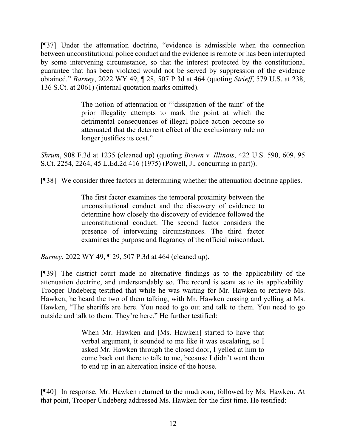[¶37] Under the attenuation doctrine, "evidence is admissible when the connection between unconstitutional police conduct and the evidence is remote or has been interrupted by some intervening circumstance, so that the interest protected by the constitutional guarantee that has been violated would not be served by suppression of the evidence obtained." *Barney*, 2022 WY 49, ¶ 28, 507 P.3d at 464 (quoting *Strieff*, 579 U.S. at 238, 136 S.Ct. at 2061) (internal quotation marks omitted).

> The notion of attenuation or "'dissipation of the taint' of the prior illegality attempts to mark the point at which the detrimental consequences of illegal police action become so attenuated that the deterrent effect of the exclusionary rule no longer justifies its cost."

*Shrum*, 908 F.3d at 1235 (cleaned up) (quoting *Brown v. Illinois*[, 422 U.S. 590, 609, 95](http://www.westlaw.com/Link/Document/FullText?findType=Y&serNum=1975129823&pubNum=0000780&originatingDoc=I54e07c70e90011e8a99cca37ea0f7dc8&refType=RP&fi=co_pp_sp_780_609&originationContext=document&vr=3.0&rs=cblt1.0&transitionType=DocumentItem&contextData=(sc.Keycite)#co_pp_sp_780_609)  [S.Ct. 2254, 2264, 45 L.Ed.2d 416 \(1975\)](http://www.westlaw.com/Link/Document/FullText?findType=Y&serNum=1975129823&pubNum=0000780&originatingDoc=I54e07c70e90011e8a99cca37ea0f7dc8&refType=RP&fi=co_pp_sp_780_609&originationContext=document&vr=3.0&rs=cblt1.0&transitionType=DocumentItem&contextData=(sc.Keycite)#co_pp_sp_780_609) (Powell, J., concurring in part)).

[¶38] We consider three factors in determining whether the attenuation doctrine applies.

The first factor examines the temporal proximity between the unconstitutional conduct and the discovery of evidence to determine how closely the discovery of evidence followed the unconstitutional conduct. The second factor considers the presence of intervening circumstances. The third factor examines the purpose and flagrancy of the official misconduct.

*Barney*, 2022 WY 49, ¶ 29, 507 P.3d at 464 (cleaned up).

[¶39] The district court made no alternative findings as to the applicability of the attenuation doctrine, and understandably so. The record is scant as to its applicability. Trooper Undeberg testified that while he was waiting for Mr. Hawken to retrieve Ms. Hawken, he heard the two of them talking, with Mr. Hawken cussing and yelling at Ms. Hawken, "The sheriffs are here. You need to go out and talk to them. You need to go outside and talk to them. They're here." He further testified:

> When Mr. Hawken and [Ms. Hawken] started to have that verbal argument, it sounded to me like it was escalating, so I asked Mr. Hawken through the closed door, I yelled at him to come back out there to talk to me, because I didn't want them to end up in an altercation inside of the house.

[¶40] In response, Mr. Hawken returned to the mudroom, followed by Ms. Hawken. At that point, Trooper Undeberg addressed Ms. Hawken for the first time. He testified: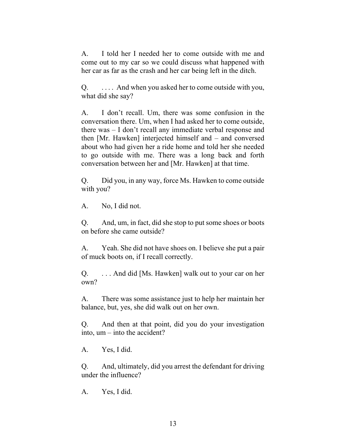A. I told her I needed her to come outside with me and come out to my car so we could discuss what happened with her car as far as the crash and her car being left in the ditch.

Q. . . . . And when you asked her to come outside with you, what did she say?

A. I don't recall. Um, there was some confusion in the conversation there. Um, when I had asked her to come outside, there was – I don't recall any immediate verbal response and then [Mr. Hawken] interjected himself and – and conversed about who had given her a ride home and told her she needed to go outside with me. There was a long back and forth conversation between her and [Mr. Hawken] at that time.

Q. Did you, in any way, force Ms. Hawken to come outside with you?

A. No, I did not.

Q. And, um, in fact, did she stop to put some shoes or boots on before she came outside?

A. Yeah. She did not have shoes on. I believe she put a pair of muck boots on, if I recall correctly.

Q. . . . And did [Ms. Hawken] walk out to your car on her own?

A. There was some assistance just to help her maintain her balance, but, yes, she did walk out on her own.

Q. And then at that point, did you do your investigation into, um – into the accident?

A. Yes, I did.

Q. And, ultimately, did you arrest the defendant for driving under the influence?

A. Yes, I did.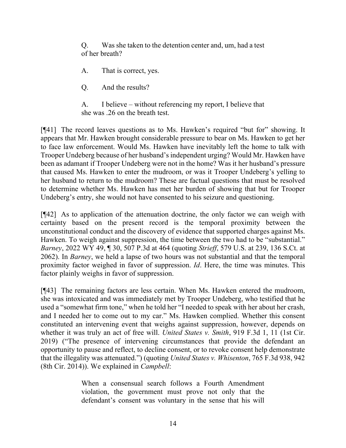Q. Was she taken to the detention center and, um, had a test of her breath?

A. That is correct, yes.

Q. And the results?

A. I believe – without referencing my report, I believe that she was .26 on the breath test.

[¶41] The record leaves questions as to Ms. Hawken's required "but for" showing. It appears that Mr. Hawken brought considerable pressure to bear on Ms. Hawken to get her to face law enforcement. Would Ms. Hawken have inevitably left the home to talk with Trooper Undeberg because of her husband's independent urging? Would Mr. Hawken have been as adamant if Trooper Undeberg were not in the home? Was it her husband's pressure that caused Ms. Hawken to enter the mudroom, or was it Trooper Undeberg's yelling to her husband to return to the mudroom? These are factual questions that must be resolved to determine whether Ms. Hawken has met her burden of showing that but for Trooper Undeberg's entry, she would not have consented to his seizure and questioning.

[¶42] As to application of the attenuation doctrine, the only factor we can weigh with certainty based on the present record is the temporal proximity between the unconstitutional conduct and the discovery of evidence that supported charges against Ms. Hawken. To weigh against suppression, the time between the two had to be "substantial." *Barney*, 2022 WY 49, ¶ 30, 507 P.3d at 464 (quoting *Strieff*, 579 U.S. at 239, 136 S.Ct. at 2062). In *Barney*, we held a lapse of two hours was not substantial and that the temporal proximity factor weighed in favor of suppression. *Id*. Here, the time was minutes. This factor plainly weighs in favor of suppression.

[¶43] The remaining factors are less certain. When Ms. Hawken entered the mudroom, she was intoxicated and was immediately met by Trooper Undeberg, who testified that he used a "somewhat firm tone," when he told her "I needed to speak with her about her crash, and I needed her to come out to my car." Ms. Hawken complied. Whether this consent constituted an intervening event that weighs against suppression, however, depends on whether it was truly an act of free will. *United States v. Smith*, 919 F.3d 1, 11 (1st Cir. 2019) ("The presence of intervening circumstances that provide the defendant an opportunity to pause and reflect, to decline consent, or to revoke consent help demonstrate that the illegality was attenuated.") (quoting *United States v. Whisenton*, 765 F.3d 938, 942 (8th Cir. 2014)). We explained in *Campbell*:

> When a consensual search follows a Fourth Amendment violation, the government must prove not only that the defendant's consent was voluntary in the sense that his will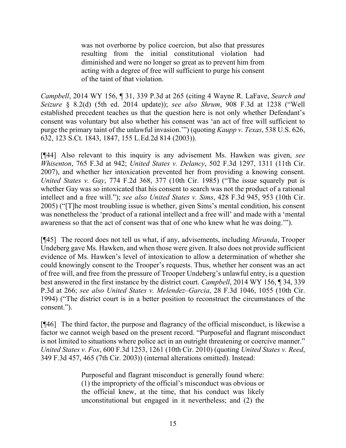was not overborne by police coercion, but also that pressures resulting from the initial constitutional violation had diminished and were no longer so great as to prevent him from acting with a degree of free will sufficient to purge his consent of the taint of that violation.

*Campbell*, 2014 WY 156, ¶ 31, 339 P.3d at 265 (citing [4 Wayne R. LaFave,](http://www.westlaw.com/Link/Document/FullText?findType=Y&pubNum=0102077&cite=4SEARCHSZRs8.2(d)&originatingDoc=I9e88b7497f3d11e4a795ac035416da91&refType=TS&originationContext=document&vr=3.0&rs=cblt1.0&transitionType=DocumentItem&contextData=(sc.UserEnteredCitation)) *Search and Seizure* [§ 8.2\(d\) \(5th ed. 2014](http://www.westlaw.com/Link/Document/FullText?findType=Y&pubNum=0102077&cite=4SEARCHSZRs8.2(d)&originatingDoc=I9e88b7497f3d11e4a795ac035416da91&refType=TS&originationContext=document&vr=3.0&rs=cblt1.0&transitionType=DocumentItem&contextData=(sc.UserEnteredCitation)) update)); *see also Shrum*, 908 F.3d at 1238 ("Well established precedent teaches us that the question here is not only whether Defendant's consent was voluntary but also whether his consent was 'an act of free will sufficient to purge the primary taint of the unlawful invasion.'") (quoting *Kaupp v. Texas*[, 538 U.S. 626,](http://www.westlaw.com/Link/Document/FullText?findType=Y&serNum=2003326193&pubNum=0000780&originatingDoc=I54e07c70e90011e8a99cca37ea0f7dc8&refType=RP&fi=co_pp_sp_780_633&originationContext=document&vr=3.0&rs=cblt1.0&transitionType=DocumentItem&contextData=(sc.Keycite)#co_pp_sp_780_633)  632, 123 S.Ct. 1843, 1847, [155 L.Ed.2d 814 \(2003\)\)](http://www.westlaw.com/Link/Document/FullText?findType=Y&serNum=2003326193&pubNum=0000780&originatingDoc=I54e07c70e90011e8a99cca37ea0f7dc8&refType=RP&fi=co_pp_sp_780_633&originationContext=document&vr=3.0&rs=cblt1.0&transitionType=DocumentItem&contextData=(sc.Keycite)#co_pp_sp_780_633).

[¶44] Also relevant to this inquiry is any advisement Ms. Hawken was given, *see Whisenton*, 765 F.3d at 942; *United States v. Delancy*, 502 F.3d 1297, 1311 (11th Cir. 2007), and whether her intoxication prevented her from providing a knowing consent. *United States v. Gay*, 774 F.2d 368, 377 (10th Cir. 1985) ("The issue squarely put is whether Gay was so intoxicated that his consent to search was not the product of a rational intellect and a free will."); *see also United States v. Sims*, 428 F.3d 945, 953 (10th Cir. 2005) ("[T]he most troubling issue is whether, given Sims's mental condition, his consent was nonetheless the 'product of a rational intellect and a free will' and made with a 'mental awareness so that the act of consent was that of one who knew what he was doing.'").

[¶45] The record does not tell us what, if any, advisements, including *Miranda*, Trooper Undeberg gave Ms. Hawken, and when those were given. It also does not provide sufficient evidence of Ms. Hawken's level of intoxication to allow a determination of whether she could knowingly consent to the Trooper's requests. Thus, whether her consent was an act of free will, and free from the pressure of Trooper Undeberg's unlawful entry, is a question best answered in the first instance by the district court. *Campbell*, 2014 WY 156, ¶ 34, 339 P.3d at 266; *see also [United States v. Melendez–Garcia](http://www.westlaw.com/Link/Document/FullText?findType=Y&serNum=1994141402&pubNum=0000506&originatingDoc=I9e88b7497f3d11e4a795ac035416da91&refType=RP&fi=co_pp_sp_506_1053&originationContext=document&vr=3.0&rs=cblt1.0&transitionType=DocumentItem&contextData=(sc.UserEnteredCitation)#co_pp_sp_506_1053)*, 28 F.3d 1046, 1055 (10th Cir. [1994\)](http://www.westlaw.com/Link/Document/FullText?findType=Y&serNum=1994141402&pubNum=0000506&originatingDoc=I9e88b7497f3d11e4a795ac035416da91&refType=RP&fi=co_pp_sp_506_1053&originationContext=document&vr=3.0&rs=cblt1.0&transitionType=DocumentItem&contextData=(sc.UserEnteredCitation)#co_pp_sp_506_1053) ("The district court is in a better position to reconstruct the circumstances of the consent.").

[¶46] The third factor, the purpose and flagrancy of the official misconduct, is likewise a factor we cannot weigh based on the present record. "Purposeful and flagrant misconduct is not limited to situations where police act in an outright threatening or coercive manner." *United States v. Fox*[, 600 F.3d 1253, 1261 \(10th Cir. 2010\)](http://www.westlaw.com/Link/Document/FullText?findType=Y&serNum=2021590709&pubNum=0000506&originatingDoc=Ib55bee40b9db11eca998bccac2217b4d&refType=RP&fi=co_pp_sp_506_1261&originationContext=document&vr=3.0&rs=cblt1.0&transitionType=DocumentItem&contextData=(sc.UserEnteredCitation)#co_pp_sp_506_1261) (quoting *[United States v. Reed](http://www.westlaw.com/Link/Document/FullText?findType=Y&serNum=2003830481&pubNum=506&originatingDoc=I1f0b09d2366811df9988d233d23fe599&refType=RP&fi=co_pp_sp_506_464&originationContext=document&vr=3.0&rs=cblt1.0&transitionType=DocumentItem&contextData=(sc.DocLink)#co_pp_sp_506_464)*, [349 F.3d 457, 465 \(7th Cir. 2003\)\)](http://www.westlaw.com/Link/Document/FullText?findType=Y&serNum=2003830481&pubNum=506&originatingDoc=I1f0b09d2366811df9988d233d23fe599&refType=RP&fi=co_pp_sp_506_464&originationContext=document&vr=3.0&rs=cblt1.0&transitionType=DocumentItem&contextData=(sc.DocLink)#co_pp_sp_506_464) (internal alterations omitted). Instead:

> Purposeful and flagrant misconduct is generally found where: (1) the impropriety of the official's misconduct was obvious or the official knew, at the time, that his conduct was likely unconstitutional but engaged in it nevertheless; and (2) the